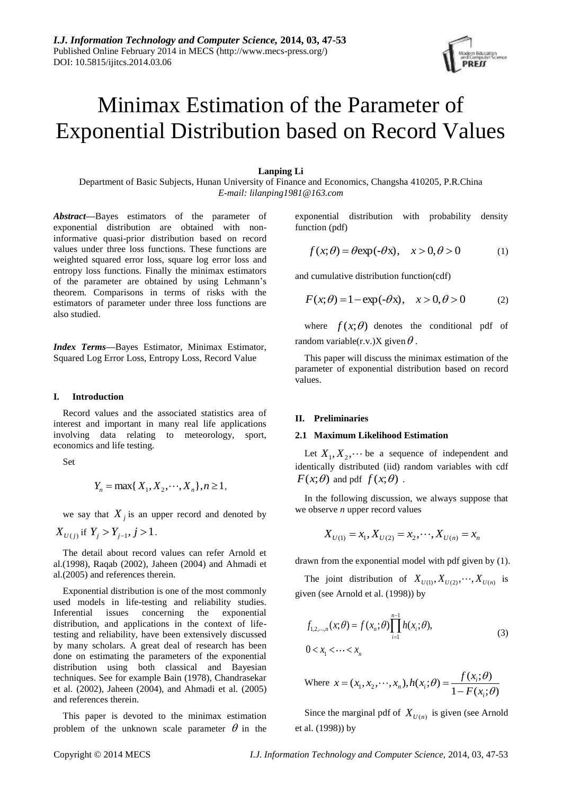# Minimax Estimation of the Parameter of Exponential Distribution based on Record Values

## **Lanping Li**

Department of Basic Subjects, Hunan University of Finance and Economics, Changsha 410205, P.R.China *E-mail: lilanping1981@163.com*

*Abstract***—**Bayes estimators of the parameter of exponential distribution are obtained with noninformative quasi-prior distribution based on record values under three loss functions. These functions are weighted squared error loss, square log error loss and entropy loss functions. Finally the minimax estimators of the parameter are obtained by using Lehmann's theorem. Comparisons in terms of risks with the estimators of parameter under three loss functions are also studied.

*Index Terms***—**Bayes Estimator, Minimax Estimator, Squared Log Error Loss, Entropy Loss, Record Value

## **I. Introduction**

Record values and the associated statistics area of interest and important in many real life applications involving data relating to meteorology, sport, economics and life testing.

Set

$$
Y_n = \max\{X_1, X_2, \cdots, X_n\}, n \ge 1,
$$

we say that  $X_j$  is an upper record and denoted by  $X_{U(j)}$  if  $Y_j > Y_{j-1}, j > 1$ .

The detail about record values can refer Arnold et al.(1998), Raqab (2002), Jaheen (2004) and Ahmadi et al.(2005) and references therein.

Exponential distribution is one of the most commonly used models in life-testing and reliability studies. Inferential issues concerning the exponential distribution, and applications in the context of lifetesting and reliability, have been extensively discussed by many scholars. A great deal of research has been done on estimating the parameters of the exponential distribution using both classical and Bayesian techniques. See for example Bain (1978), Chandrasekar et al. (2002), Jaheen (2004), and Ahmadi et al. (2005) and references therein.

This paper is devoted to the minimax estimation problem of the unknown scale parameter  $\theta$  in the exponential distribution with probability density function (pdf)

$$
f(x; \theta) = \theta \exp(-\theta x), \quad x > 0, \theta > 0 \tag{1}
$$

and cumulative distribution function(cdf)

$$
F(x; \theta) = 1 - \exp(-\theta x), \quad x > 0, \theta > 0 \tag{2}
$$

where  $f(x; \theta)$  denotes the conditional pdf of random variable(r.v.)X given  $\theta$ .

This paper will discuss the minimax estimation of the parameter of exponential distribution based on record values.

## **II. Preliminaries**

#### **2.1 Maximum Likelihood Estimation**

Let  $X_1, X_2, \dots$  be a sequence of independent and identically distributed (iid) random variables with cdf  $F(x;\theta)$  and pdf  $f(x;\theta)$ .

In the following discussion, we always suppose that we observe *n* upper record values

$$
X_{U(1)} = x_1, X_{U(2)} = x_2, \cdots, X_{U(n)} = x_n
$$

drawn from the exponential model with pdf given by (1).

The joint distribution of  $X_{U(1)}, X_{U(2)}, \dots, X_{U(n)}$  is given (see Arnold et al. (1998)) by

$$
f_{1,2,\dots,n}(x;\theta) = f(x_n;\theta) \prod_{i=1}^{n-1} h(x_i;\theta),
$$
  
0 < x\_1 < \dots < x\_n (3)

Where 
$$
x = (x_1, x_2, \dots, x_n), h(x_i; \theta) = \frac{f(x_i; \theta)}{1 - F(x_i; \theta)}
$$

Since the marginal pdf of  $X_{U(n)}$  is given (see Arnold et al. (1998)) by

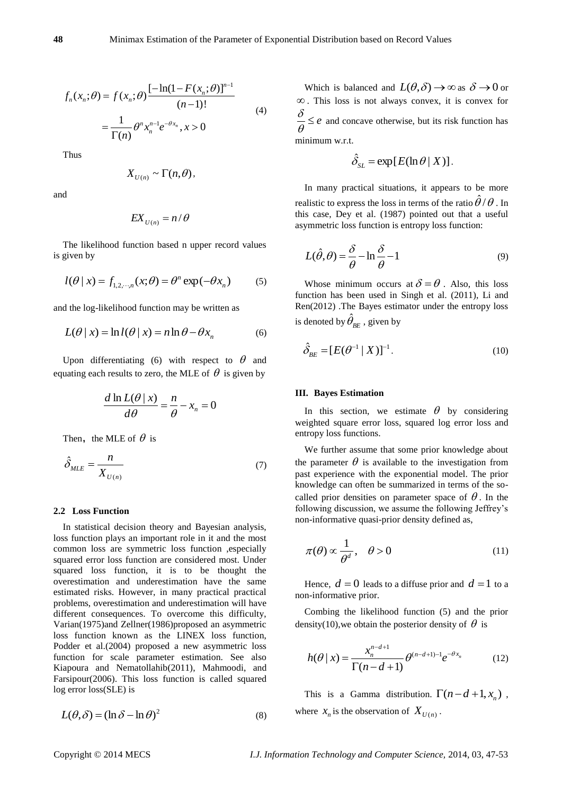$$
f_n(x_n; \theta) = f(x_n; \theta) \frac{[-\ln(1 - F(x_n; \theta)]^{n-1}}{(n-1)!}
$$
  
= 
$$
\frac{1}{\Gamma(n)} \theta^n x_n^{n-1} e^{-\theta x_n}, x > 0
$$
 (4)

Thus

$$
X_{U(n)} \sim \Gamma(n, \theta),
$$

and

$$
EX_{U(n)}=n/\theta
$$

The likelihood function based n upper record values is given by

$$
l(\theta \mid x) = f_{1,2,\cdots,n}(x;\theta) = \theta^n \exp(-\theta x_n)
$$
 (5)

and the log-likelihood function may be written as

$$
L(\theta \mid x) = \ln l(\theta \mid x) = n \ln \theta - \theta x_n \tag{6}
$$

Upon differentiating (6) with respect to  $\theta$  and equating each results to zero, the MLE of  $\theta$  is given by

$$
\frac{d \ln L(\theta \mid x)}{d \theta} = \frac{n}{\theta} - x_n = 0
$$

Then, the MLE of  $\theta$  is

$$
\hat{\delta}_{MLE} = \frac{n}{X_{U(n)}}\tag{7}
$$

### **2.2 Loss Function**

In statistical decision theory and Bayesian analysis, loss function plays an important role in it and the most common loss are symmetric loss function ,especially squared error loss function are considered most. Under squared loss function, it is to be thought the overestimation and underestimation have the same estimated risks. However, in many practical practical problems, overestimation and underestimation will have different consequences. To overcome this difficulty, Varian(1975)and Zellner(1986)proposed an asymmetric loss function known as the LINEX loss function, Podder et al.(2004) proposed a new asymmetric loss function for scale parameter estimation. See also Kiapou[ra](http://www.sciencedirect.com/science/article/pii/S0167715211002331#af000005) and Nematollah[ib\(](http://www.sciencedirect.com/science/article/pii/S0167715211002331#af000010)2011), Mahmoodi, and Farsipour(2006). This loss function is called squared log error loss(SLE) is

$$
L(\theta, \delta) = (\ln \delta - \ln \theta)^2 \tag{8}
$$

Which is balanced and  $L(\theta, \delta) \to \infty$  as  $\delta \to 0$  or . This loss is not always convex, it is convex for  $\frac{\sigma}{\theta} \leq e$  $\frac{\delta}{\delta} \leq e$  and concave otherwise, but its risk function has minimum w.r.t.

$$
\hat{\delta}_{SL} = \exp[E(\ln \theta \mid X)].
$$

In many practical situations, it appears to be more realistic to express the loss in terms of the ratio  $\hat{\theta}/\theta$  . In this case, Dey et al. (1987) pointed out that a useful asymmetric loss function is entropy loss function:

$$
L(\hat{\theta}, \theta) = \frac{\delta}{\theta} - \ln \frac{\delta}{\theta} - 1
$$
 (9)

Whose minimum occurs at  $\delta = \theta$ . Also, this loss function has been used in Singh et al. (2011), Li and Ren(2012) .The Bayes estimator under the entropy loss is denoted by  $\hat{\theta}_{\scriptscriptstyle BE}$  , given by

$$
\hat{\delta}_{BE} = [E(\theta^{-1} | X)]^{-1}.
$$
 (10)

#### **III. Bayes Estimation**

In this section, we estimate  $\theta$  by considering weighted square error loss, squared log error loss and entropy loss functions.

We further assume that some prior knowledge about the parameter  $\theta$  is available to the investigation from past experience with the exponential model. The prior knowledge can often be summarized in terms of the socalled prior densities on parameter space of  $\theta$ . In the following discussion, we assume the following Jeffrey's non-informative quasi-prior density defined as,

$$
\pi(\theta) \propto \frac{1}{\theta^d}, \quad \theta > 0 \tag{11}
$$

Hence,  $d = 0$  leads to a diffuse prior and  $d = 1$  to a non-informative prior.

Combing the likelihood function (5) and the prior density(10), we obtain the posterior density of  $\theta$  is

$$
h(\theta \mid x) = \frac{x_n^{n-d+1}}{\Gamma(n-d+1)} \theta^{(n-d+1)-1} e^{-\theta x_n}
$$
 (12)

This is a Gamma distribution.  $\Gamma(n-d+1, x_n)$ , where  $x_n$  is the observation of  $X_{U(n)}$ .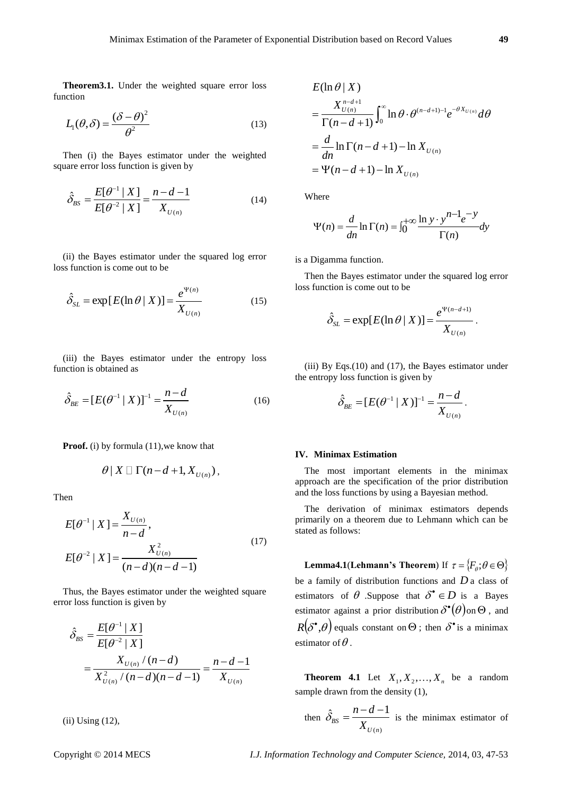**Theorem3.1.** Under the weighted square error loss function

$$
L_1(\theta, \delta) = \frac{(\delta - \theta)^2}{\theta^2} \tag{13}
$$

Then (i) the Bayes estimator under the weighted square error loss function is given by

$$
\hat{\delta}_{BS} = \frac{E[\theta^{-1} | X]}{E[\theta^{-2} | X]} = \frac{n - d - 1}{X_{U(n)}}\tag{14}
$$

(ii) the Bayes estimator under the squared log error loss function is come out to be

$$
\hat{\delta}_{SL} = \exp[E(\ln \theta \mid X)] = \frac{e^{\Psi(n)}}{X_{U(n)}}\tag{15}
$$

(iii) the Bayes estimator under the entropy loss function is obtained as

$$
\hat{\delta}_{BE} = [E(\theta^{-1} | X)]^{-1} = \frac{n - d}{X_{U(n)}}\tag{16}
$$

**Proof.** (i) by formula (11), we know that

$$
\theta \,|\, X \,\square\,\Gamma(n-d+1,X_{U(n)})\,,
$$

Then

$$
E[\theta^{-1} | X] = \frac{X_{U(n)}}{n - d},
$$
  
\n
$$
E[\theta^{-2} | X] = \frac{X_{U(n)}^2}{(n - d)(n - d - 1)}
$$
\n(17)

Thus, the Bayes estimator under the weighted square error loss function is given by

$$
\hat{\delta}_{BS} = \frac{E[\theta^{-1} | X]}{E[\theta^{-2} | X]}
$$
  
= 
$$
\frac{X_{U(n)}/(n-d)}{X_{U(n)}^2/(n-d)(n-d-1)} = \frac{n-d-1}{X_{U(n)}}
$$

(ii) Using (12),

$$
E(\ln \theta | X)
$$
  
=  $\frac{X_{U(n)}^{n-d+1}}{\Gamma(n-d+1)} \int_0^\infty \ln \theta \cdot \theta^{(n-d+1)-1} e^{-\theta X_{U(n)}} d\theta$   
=  $\frac{d}{dn} \ln \Gamma(n-d+1) - \ln X_{U(n)}$   
=  $\Psi(n-d+1) - \ln X_{U(n)}$ 

Where

$$
\Psi(n) = \frac{d}{dn} \ln \Gamma(n) = \int_0^{+\infty} \frac{\ln y \cdot y^{n-1} e^{-y}}{\Gamma(n)} dy
$$

is a Digamma function.

Then the Bayes estimator under the squared log error loss function is come out to be

$$
\hat{\delta}_{SL} = \exp[E(\ln \theta \mid X)] = \frac{e^{\Psi(n-d+1)}}{X_{U(n)}}.
$$

(iii) By Eqs.(10) and (17), the Bayes estimator under the entropy loss function is given by

$$
\hat{\delta}_{BE} = [E(\theta^{-1} | X)]^{-1} = \frac{n - d}{X_{U(n)}}.
$$

#### **IV. Minimax Estimation**

The most important elements in the minimax approach are the specification of the prior distribution and the loss functions by using a Bayesian method.

The derivation of minimax estimators depends primarily on a theorem due to Lehmann which can be stated as follows:

**Lemma4.1**(**Lehmann's Theorem**) If  $\tau = \{F_\theta: \theta \in \Theta\}$ be a family of distribution functions and *D* a class of estimators of  $\theta$  .Suppose that  $\delta^{\bullet} \in D$  is a Bayes estimator against a prior distribution  $\delta^{\bullet}(\theta)$  on  $\Theta$ , and  $R(\delta^{\bullet}, \theta)$  equals constant on  $\Theta$ ; then  $\delta^{\bullet}$  is a minimax estimator of  $\theta$  .

**Theorem 4.1** Let  $X_1, X_2, \ldots, X_n$  be a random sample drawn from the density (1),

then 
$$
\hat{\delta}_{BS} = \frac{n - d - 1}{X_{U(n)}}
$$
 is the minimax estimator of

Copyright © 2014 MECS *I.J. Information Technology and Computer Science,* 2014, 03, 47-53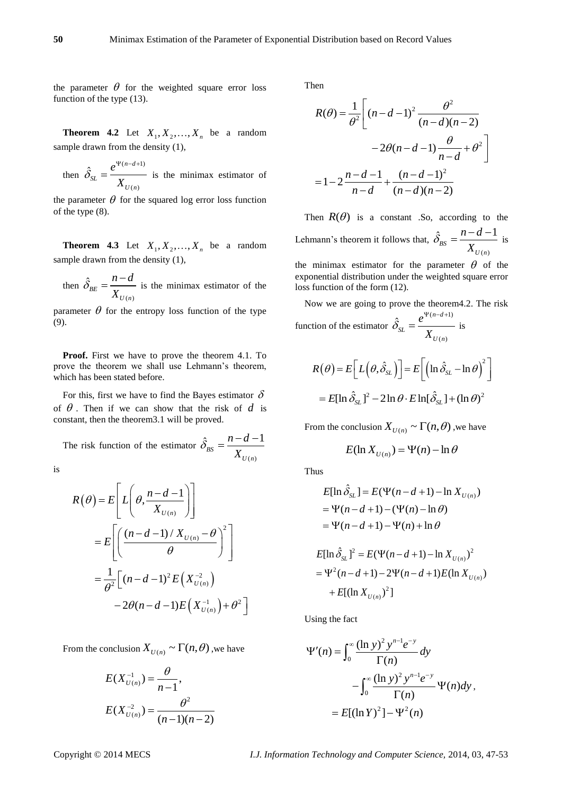the parameter  $\theta$  for the weighted square error loss function of the type (13).

**Theorem 4.2** Let  $X_1, X_2, \ldots, X_n$  be a random sample drawn from the density (1),

then  $(n-d+1)$  $(n)$  $\hat{\delta}_{\alpha} = \frac{e^{\Psi(n-d)}}{2\pi}$ *SL U n e X*  $\delta$  $\Psi(n-d+1)$  $=\frac{c}{\sqrt{1-\frac{c}{c}}}$  is the minimax estimator of

the parameter  $\theta$  for the squared log error loss function of the type (8).

**Theorem 4.3** Let  $X_1, X_2, \ldots, X_n$  be a random sample drawn from the density (1),

then  $(n)$  $\hat{\delta}_{_{BE}}$ *U n n d X*  $\hat{\delta}_{BE} = \frac{n-d}{n}$  is the minimax estimator of the

parameter  $\theta$  for the entropy loss function of the type (9).

**Proof.** First we have to prove the theorem 4.1. To prove the theorem we shall use Lehmann's theorem, which has been stated before.

For this, first we have to find the Bayes estimator  $\delta$ of  $\theta$ . Then if we can show that the risk of  $d$  is constant, then the theorem3.1 will be proved.

The risk function of the estimator  $(n)$  $\hat{S}_{BS} = \frac{n - d - 1}{V}$ *U n n d X*  $\hat{\delta}_{RS} = \frac{n - d - 1}{N}$ 

is

$$
R(\theta) = E\left[L\left(\theta, \frac{n - d - 1}{X_{U(n)}}\right)\right]
$$
  
= 
$$
E\left[\left(\frac{(n - d - 1)/X_{U(n)} - \theta}{\theta}\right)^2\right]
$$
  
= 
$$
\frac{1}{\theta^2}\left[(n - d - 1)^2 E\left(X_{U(n)}^{-2}\right) - 2\theta(n - d - 1)E\left(X_{U(n)}^{-1}\right) + \theta^2\right]
$$

From the conclusion  $X_{U(n)} \sim \Gamma(n, \theta)$  , we have

$$
E(X_{U(n)}^{-1}) = \frac{\theta}{n-1},
$$
  

$$
E(X_{U(n)}^{-2}) = \frac{\theta^2}{(n-1)(n-2)}
$$

Then

$$
R(\theta) = \frac{1}{\theta^2} \left[ (n - d - 1)^2 \frac{\theta^2}{(n - d)(n - 2)} -2\theta(n - d - 1) \frac{\theta}{n - d} + \theta^2 \right]
$$

$$
= 1 - 2\frac{n - d - 1}{n - d} + \frac{(n - d - 1)^2}{(n - d)(n - 2)}
$$

Then  $R(\theta)$  is a constant .So, according to the Lehmann's theorem it follows that,  $(n)$  $\hat{S}_{BS} = \frac{n - d - 1}{V}$ *U n*  $n - d$ *X*  $\hat{\delta}_{RS} = \frac{n-d-1}{N}$  is

the minimax estimator for the parameter  $\theta$  of the exponential distribution under the weighted square error loss function of the form (12).

Now we are going to prove the theorem4.2. The risk function of the estimator  $(n-d+1)$  $(n)$  $\hat{\delta}_{\alpha} = \frac{e^{\Psi(n-d)}}{2\pi}$ *SL U n e X*  $\delta$  $\Psi(n-d+1)$  $=\frac{c}{\sqrt{1-\frac{c}{c}}}$  is

$$
R(\theta) = E\left[L(\theta, \hat{\delta}_{SL})\right] = E\left[\left(\ln \hat{\delta}_{SL} - \ln \theta\right)^{2}\right]
$$

$$
= E[\ln \hat{\delta}_{SL}]^{2} - 2 \ln \theta \cdot E \ln[\hat{\delta}_{SL}] + (\ln \theta)^{2}
$$

From the conclusion  $X_{U(n)} \sim \Gamma(n, \theta)$ , we have

$$
E(\ln X_{U(n)}) = \Psi(n) - \ln \theta
$$

Thus

$$
E[\ln \hat{\delta}_{SL}] = E(\Psi(n - d + 1) - \ln X_{U(n)})
$$
  
=  $\Psi(n - d + 1) - (\Psi(n) - \ln \theta)$   
=  $\Psi(n - d + 1) - \Psi(n) + \ln \theta$ 

$$
E[\ln \hat{\delta}_{SL}]^{2} = E(\Psi(n-d+1) - \ln X_{U(n)})^{2}
$$
  
=  $\Psi^{2}(n-d+1) - 2\Psi(n-d+1)E(\ln X_{U(n)})$   
+  $E[(\ln X_{U(n)})^{2}]$ 

Using the fact

$$
\Psi'(n) = \int_0^\infty \frac{(\ln y)^2 y^{n-1} e^{-y}}{\Gamma(n)} dy
$$
  
-
$$
\int_0^\infty \frac{(\ln y)^2 y^{n-1} e^{-y}}{\Gamma(n)} \Psi(n) dy,
$$
  
=
$$
E[(\ln Y)^2] - \Psi^2(n)
$$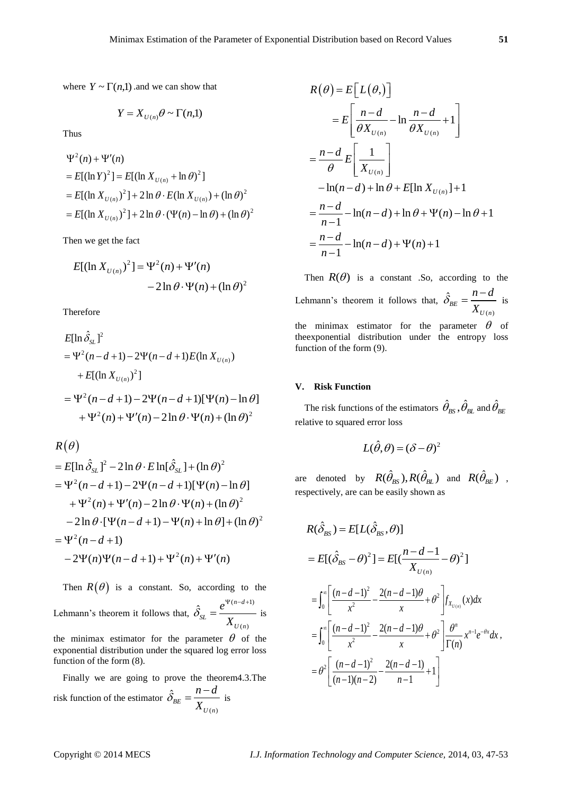where  $Y \sim \Gamma(n,1)$  and we can show that

$$
Y=X_{U(n)}\theta\sim\Gamma(n,\!1)
$$

Thus

$$
\Psi^{2}(n) + \Psi'(n)
$$
  
=  $E[(\ln Y)^{2}] = E[(\ln X_{U(n)} + \ln \theta)^{2}]$   
=  $E[(\ln X_{U(n)})^{2}] + 2 \ln \theta \cdot E(\ln X_{U(n)}) + (\ln \theta)^{2}$   
=  $E[(\ln X_{U(n)})^{2}] + 2 \ln \theta \cdot (\Psi(n) - \ln \theta) + (\ln \theta)^{2}$ 

Then we get the fact

$$
E[(\ln X_{U(n)})^2] = \Psi^2(n) + \Psi'(n)
$$
  
- 2 ln  $\theta \cdot \Psi(n) + (\ln \theta)^2$ 

Therefore

$$
E[\ln \hat{\delta}_{SL}]^{2}
$$
  
=  $\Psi^{2}(n-d+1) - 2\Psi(n-d+1)E(\ln X_{U(n)})$   
+  $E[(\ln X_{U(n)})^{2}]$   
=  $\Psi^{2}(n-d+1) - 2\Psi(n-d+1)[\Psi(n) - \ln \theta]$   
+  $\Psi^{2}(n) + \Psi'(n) - 2\ln \theta \cdot \Psi(n) + (\ln \theta)^{2}$ 

$$
R(\theta)
$$

$$
R(\theta)
$$
  
=  $E[\ln \hat{\delta}_{SL}]^2 - 2\ln \theta \cdot E \ln[\hat{\delta}_{SL}] + (\ln \theta)^2$   
=  $\Psi^2(n-d+1) - 2\Psi(n-d+1)[\Psi(n) - \ln \theta]$   
+  $\Psi^2(n) + \Psi'(n) - 2\ln \theta \cdot \Psi(n) + (\ln \theta)^2$   
-  $2\ln \theta \cdot [\Psi(n-d+1) - \Psi(n) + \ln \theta] + (\ln \theta)^2$   
=  $\Psi^2(n-d+1)$   
-  $2\Psi(n)\Psi(n-d+1) + \Psi^2(n) + \Psi'(n)$ 

Then  $R(\theta)$  is a constant. So, according to the Lehmann's theorem it follows that,  $(n-d+1)$  $(n)$  $\hat{\delta}_{n} = \frac{e^{\Psi(n-d)}}{n}$ *SL*  $U(n)$ *e X*  $\delta$  $\Psi(n-d+1)$  $=\frac{c}{\sqrt{1-\frac{c}{c}}}$  is

the minimax estimator for the parameter  $\theta$  of the exponential distribution under the squared log error loss function of the form (8).

Finally we are going to prove the theorem4.3.The risk function of the estimator  $(n)$  $\hat{\delta}_{BE}$ *U n n d X*  $\hat{\delta}_{RF} = \frac{n-d}{\sigma}$  is

$$
R(\theta) = E[L(\theta)]
$$
  
\n
$$
= E\left[\frac{n-d}{\theta X_{U(n)}} - \ln \frac{n-d}{\theta X_{U(n)}} + 1\right]
$$
  
\n
$$
= \frac{n-d}{\theta} E\left[\frac{1}{X_{U(n)}}\right]
$$
  
\n
$$
- \ln(n-d) + \ln \theta + E[\ln X_{U(n)}] + 1
$$
  
\n
$$
= \frac{n-d}{n-1} - \ln(n-d) + \ln \theta + \Psi(n) - \ln \theta + 1
$$
  
\n
$$
= \frac{n-d}{n-1} - \ln(n-d) + \Psi(n) + 1
$$

Then  $R(\theta)$  is a constant .So, according to the Lehmann's theorem it follows that,  $(n)$  $\hat{\delta}_{_{BE}}$ *U n n d X*  $\hat{\delta}_{_{RF}} = \frac{n-d}{\sigma}$  is the minimax estimator for the parameter  $\theta$  of theexponential distribution under the entropy loss function of the form (9).

## **V. Risk Function**

The risk functions of the estimators  $\hat{\theta}_{_{\!B\!S}} , \hat{\theta}_{_{\!B\!L}}$  and  $\hat{\theta}_{_{\!B\!E}}$ relative to squared error loss

$$
L(\hat{\theta}, \theta) = (\delta - \theta)^2
$$

are denoted by  $R(\hat{\theta}_{BS}), R(\hat{\theta}_{BL})$  and  $R(\hat{\theta}_{BE})$  , respectively, are can be easily shown as

$$
R(\hat{\delta}_{BS}) = E[L(\hat{\delta}_{BS}, \theta)]
$$
  
=  $E[(\hat{\delta}_{BS} - \theta)^2] = E[(\frac{n - d - 1}{X_{U(n)}} - \theta)^2]$   
=  $\int_0^{\infty} \left[ \frac{(n - d - 1)^2}{x^2} - \frac{2(n - d - 1)\theta}{x} + \theta^2 \right] f_{X_{U(n)}}(x) dx$   
=  $\int_0^{\infty} \left[ \frac{(n - d - 1)^2}{x^2} - \frac{2(n - d - 1)\theta}{x} + \theta^2 \right] \frac{\theta^n}{\Gamma(n)} x^{n - 1} e^{-\theta x} dx$ ,  
=  $\theta^2 \left[ \frac{(n - d - 1)^2}{(n - 1)(n - 2)} - \frac{2(n - d - 1)}{n - 1} + 1 \right]$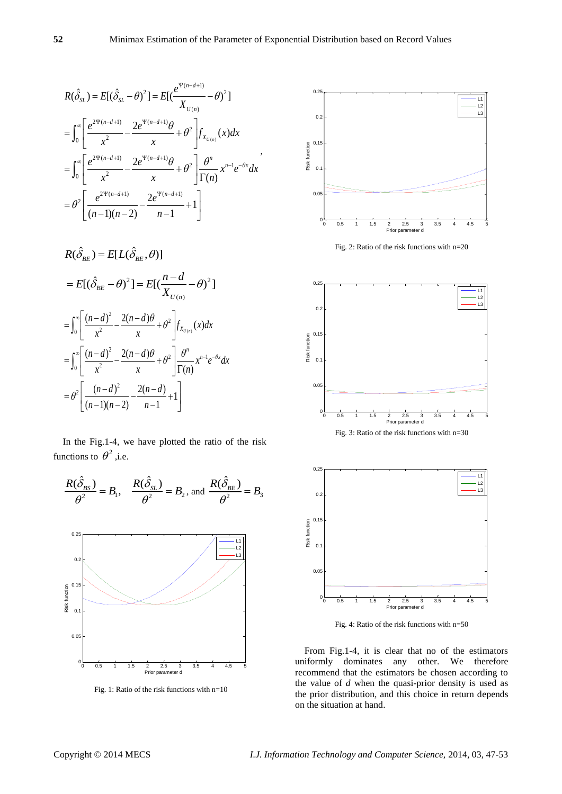$$
R(\hat{\delta}_{SL}) = E[(\hat{\delta}_{SL} - \theta)^2] = E[(\frac{e^{\Psi(n-d+1)}}{X_{U(n)}} - \theta)^2]
$$
  
\n
$$
= \int_0^{\infty} \left[ \frac{e^{2\Psi(n-d+1)}}{x^2} - \frac{2e^{\Psi(n-d+1)}\theta}{x} + \theta^2 \right] f_{X_{U(n)}}(x) dx
$$
  
\n
$$
= \int_0^{\infty} \left[ \frac{e^{2\Psi(n-d+1)}}{x^2} - \frac{2e^{\Psi(n-d+1)}\theta}{x} + \theta^2 \right] \frac{\theta^n}{\Gamma(n)} x^{n-1} e^{-\theta x} dx
$$
  
\n
$$
= \theta^2 \left[ \frac{e^{2\Psi(n-d+1)}}{(n-1)(n-2)} - \frac{2e^{\Psi(n-d+1)}}{n-1} + 1 \right]
$$

$$
R(\hat{\delta}_{BE}) = E[L(\hat{\delta}_{BE}, \theta)]
$$
  
=  $E[(\hat{\delta}_{BE} - \theta)^2] = E[(\frac{n-d}{X_{U(n)}} - \theta)^2]$   
=  $\int_0^{\infty} \left[ \frac{(n-d)^2}{x^2} - \frac{2(n-d)\theta}{x} + \theta^2 \right] f_{X_{U(n)}}(x) dx$   
=  $\int_0^{\infty} \left[ \frac{(n-d)^2}{x^2} - \frac{2(n-d)\theta}{x} + \theta^2 \right] \frac{\theta^n}{\Gamma(n)} x^{n-\frac{1}{2}} e^{-\theta x} dx$   
=  $\theta^2 \left[ \frac{(n-d)^2}{(n-1)(n-2)} - \frac{2(n-d)}{n-1} + 1 \right]$ 

In the Fig.1-4, we have plotted the ratio of the risk functions to  $\theta^2$ , i.e.



Fig. 1: Ratio of the risk functions with n=10



Fig. 2: Ratio of the risk functions with n=20





Fig. 4: Ratio of the risk functions with n=50

From Fig.1-4, it is clear that no of the estimators uniformly dominates any other. We therefore recommend that the estimators be chosen according to the value of *d* when the quasi-prior density is used as the prior distribution, and this choice in return depends on the situation at hand.